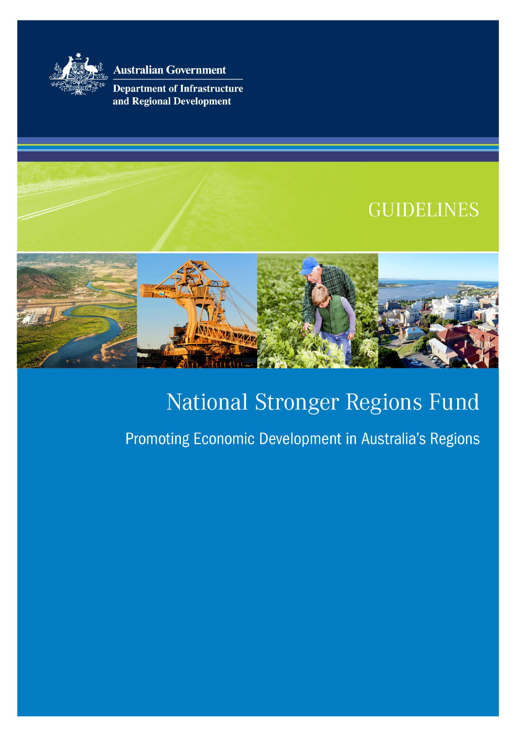

**Australian Government** 

**Department of Infrastructure** and Regional Development

# **GUIDELINES**



# National Stronger Regions Fund

# Promoting Economic Development in Australia's Regions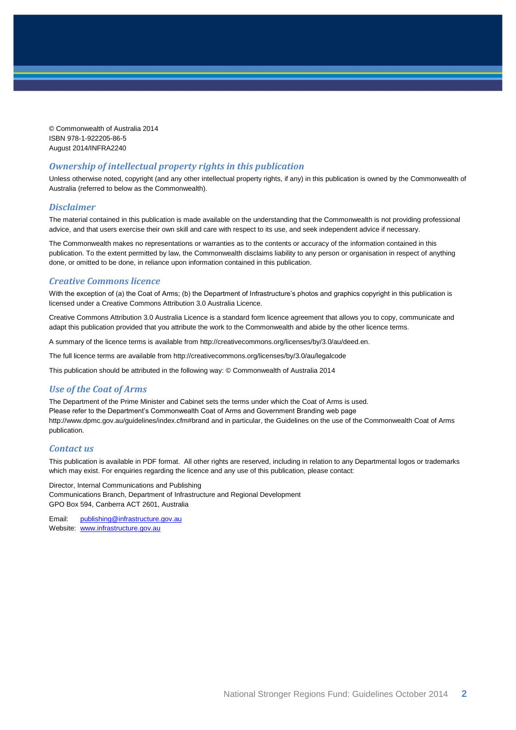© Commonwealth of Australia 2014 ISBN 978-1-922205-86-5 August 2014/INFRA2240

#### *Ownership of intellectual property rights in this publication*

Unless otherwise noted, copyright (and any other intellectual property rights, if any) in this publication is owned by the Commonwealth of Australia (referred to below as the Commonwealth).

#### *Disclaimer*

The material contained in this publication is made available on the understanding that the Commonwealth is not providing professional advice, and that users exercise their own skill and care with respect to its use, and seek independent advice if necessary.

The Commonwealth makes no representations or warranties as to the contents or accuracy of the information contained in this publication. To the extent permitted by law, the Commonwealth disclaims liability to any person or organisation in respect of anything done, or omitted to be done, in reliance upon information contained in this publication.

#### *Creative Commons licence*

With the exception of (a) the Coat of Arms; (b) the Department of Infrastructure's photos and graphics copyright in this publication is licensed under a Creative Commons Attribution 3.0 Australia Licence.

Creative Commons Attribution 3.0 Australia Licence is a standard form licence agreement that allows you to copy, communicate and adapt this publication provided that you attribute the work to the Commonwealth and abide by the other licence terms.

A summary of the licence terms is available from [http://creativecommons.org/licenses/by/3.0/au/deed.en.](http://creativecommons.org/licenses/by/3.0/au/deed.en)

The full licence terms are available from<http://creativecommons.org/licenses/by/3.0/au/legalcode>

This publication should be attributed in the following way: © Commonwealth of Australia 2014

#### *Use of the Coat of Arms*

The Department of the Prime Minister and Cabinet sets the terms under which the Coat of Arms is used. Please refer to the Department's Commonwealth Coat of Arms and Government Branding web page <http://www.dpmc.gov.au/guidelines/index.cfm#brand> and in particular, the Guidelines on the use of the Commonwealth Coat of Arms publication.

#### *Contact us*

This publication is available in PDF format. All other rights are reserved, including in relation to any Departmental logos or trademarks which may exist. For enquiries regarding the licence and any use of this publication, please contact:

Director, Internal Communications and Publishing Communications Branch, Department of Infrastructure and Regional Development GPO Box 594, Canberra ACT 2601, Australia

Email: [publishing@infrastructure.gov.au](mailto:publishing@infrastructure.gov.au) Website: [www.infrastructure.gov.au](http://www.infrastructure.gov.au/)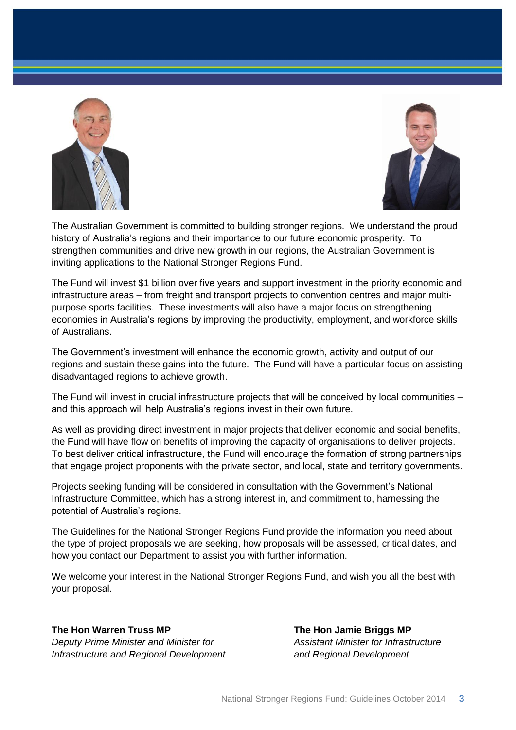



The Australian Government is committed to building stronger regions. We understand the proud history of Australia's regions and their importance to our future economic prosperity. To strengthen communities and drive new growth in our regions, the Australian Government is inviting applications to the National Stronger Regions Fund.

The Fund will invest \$1 billion over five years and support investment in the priority economic and infrastructure areas – from freight and transport projects to convention centres and major multipurpose sports facilities. These investments will also have a major focus on strengthening economies in Australia's regions by improving the productivity, employment, and workforce skills of Australians.

The Government's investment will enhance the economic growth, activity and output of our regions and sustain these gains into the future. The Fund will have a particular focus on assisting disadvantaged regions to achieve growth.

The Fund will invest in crucial infrastructure projects that will be conceived by local communities – and this approach will help Australia's regions invest in their own future.

As well as providing direct investment in major projects that deliver economic and social benefits, the Fund will have flow on benefits of improving the capacity of organisations to deliver projects. To best deliver critical infrastructure, the Fund will encourage the formation of strong partnerships that engage project proponents with the private sector, and local, state and territory governments.

Projects seeking funding will be considered in consultation with the Government's National Infrastructure Committee, which has a strong interest in, and commitment to, harnessing the potential of Australia's regions.

The Guidelines for the National Stronger Regions Fund provide the information you need about the type of project proposals we are seeking, how proposals will be assessed, critical dates, and how you contact our Department to assist you with further information.

We welcome your interest in the National Stronger Regions Fund, and wish you all the best with your proposal.

#### **The Hon Warren Truss MP The Hon Jamie Briggs MP**

*Deputy Prime Minister and Minister for Assistant Minister for Infrastructure Infrastructure and Regional Development and Regional Development*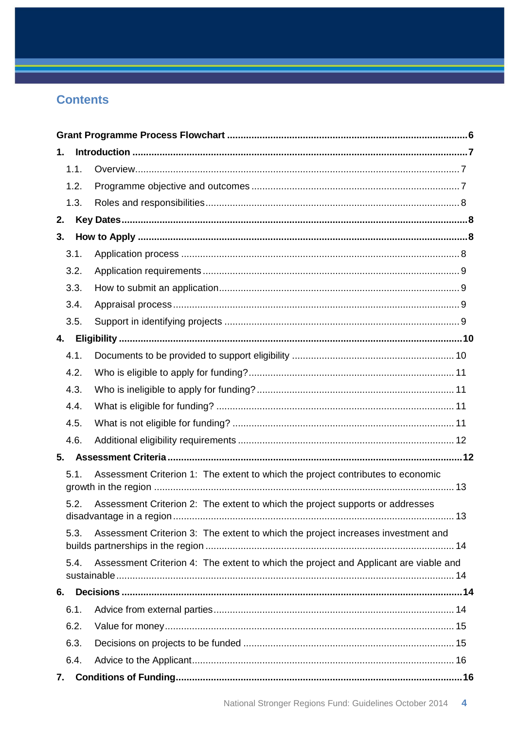# **Contents**

| 1.   |                                                                                      |  |
|------|--------------------------------------------------------------------------------------|--|
| 1.1. |                                                                                      |  |
| 1.2. |                                                                                      |  |
| 1.3. |                                                                                      |  |
| 2.   |                                                                                      |  |
| 3.   |                                                                                      |  |
| 3.1. |                                                                                      |  |
| 3.2. |                                                                                      |  |
| 3.3. |                                                                                      |  |
| 3.4. |                                                                                      |  |
| 3.5. |                                                                                      |  |
| 4.   |                                                                                      |  |
| 4.1. |                                                                                      |  |
| 4.2. |                                                                                      |  |
| 4.3. |                                                                                      |  |
| 4.4. |                                                                                      |  |
| 4.5. |                                                                                      |  |
| 4.6. |                                                                                      |  |
| 5.   |                                                                                      |  |
| 5.1. | Assessment Criterion 1: The extent to which the project contributes to economic      |  |
|      |                                                                                      |  |
| 5.2. | Assessment Criterion 2: The extent to which the project supports or addresses        |  |
| 5.3. | Assessment Criterion 3: The extent to which the project increases investment and     |  |
|      |                                                                                      |  |
| 5.4. | Assessment Criterion 4: The extent to which the project and Applicant are viable and |  |
| 6.   |                                                                                      |  |
| 6.1. |                                                                                      |  |
| 6.2. |                                                                                      |  |
| 6.3. |                                                                                      |  |
| 6.4. |                                                                                      |  |
| 7.   |                                                                                      |  |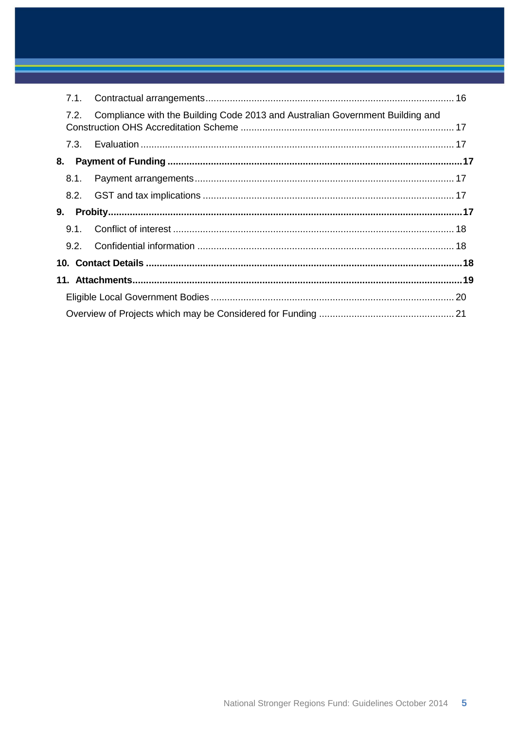| 7.1. |                                                                               |  |  |
|------|-------------------------------------------------------------------------------|--|--|
| 7.2. | Compliance with the Building Code 2013 and Australian Government Building and |  |  |
|      |                                                                               |  |  |
| 8.   |                                                                               |  |  |
| 8.1. |                                                                               |  |  |
|      |                                                                               |  |  |
| 9.   |                                                                               |  |  |
| 9.1. |                                                                               |  |  |
| 9.2. |                                                                               |  |  |
|      |                                                                               |  |  |
|      |                                                                               |  |  |
|      |                                                                               |  |  |
|      |                                                                               |  |  |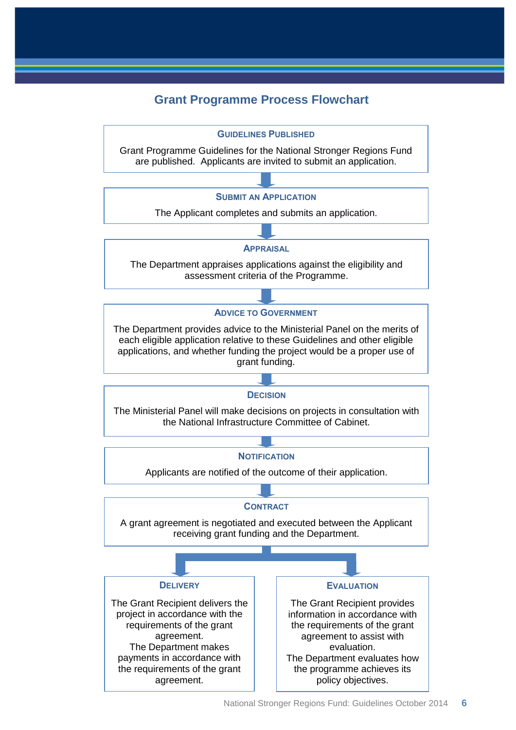## **Grant Programme Process Flowchart**

<span id="page-5-0"></span>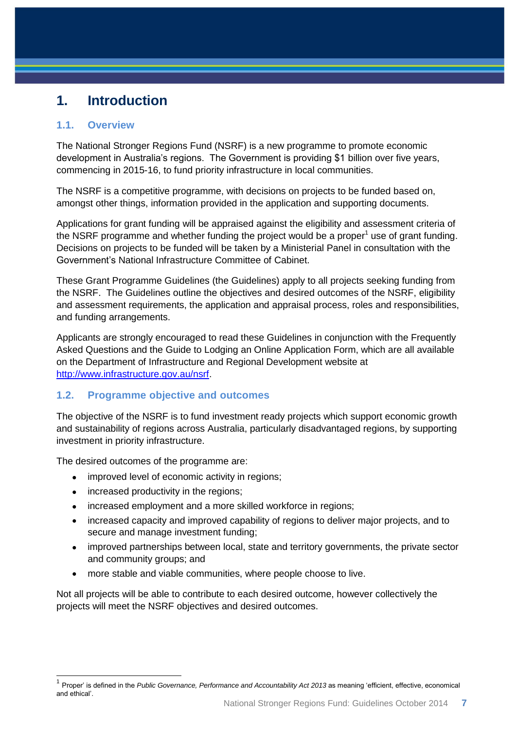# <span id="page-6-0"></span>**1. Introduction**

#### <span id="page-6-1"></span>**1.1. Overview**

The National Stronger Regions Fund (NSRF) is a new programme to promote economic development in Australia's regions. The Government is providing \$1 billion over five years, commencing in 2015-16, to fund priority infrastructure in local communities.

The NSRF is a competitive programme, with decisions on projects to be funded based on, amongst other things, information provided in the application and supporting documents.

Applications for grant funding will be appraised against the eligibility and assessment criteria of the NSRF programme and whether funding the project would be a proper<sup>1</sup> use of grant funding. Decisions on projects to be funded will be taken by a Ministerial Panel in consultation with the Government's National Infrastructure Committee of Cabinet.

These Grant Programme Guidelines (the Guidelines) apply to all projects seeking funding from the NSRF. The Guidelines outline the objectives and desired outcomes of the NSRF, eligibility and assessment requirements, the application and appraisal process, roles and responsibilities, and funding arrangements.

Applicants are strongly encouraged to read these Guidelines in conjunction with the Frequently Asked Questions and the Guide to Lodging an Online Application Form, which are all available on the Department of Infrastructure and Regional Development website at [http://www.infrastructure.gov.au/nsrf.](http://www.infrastructure.gov.au/nsrf)

### <span id="page-6-2"></span>**1.2. Programme objective and outcomes**

The objective of the NSRF is to fund investment ready projects which support economic growth and sustainability of regions across Australia, particularly disadvantaged regions, by supporting investment in priority infrastructure.

The desired outcomes of the programme are:

- improved level of economic activity in regions;
- increased productivity in the regions;

- increased employment and a more skilled workforce in regions;
- increased capacity and improved capability of regions to deliver major projects, and to secure and manage investment funding;
- improved partnerships between local, state and territory governments, the private sector and community groups; and
- more stable and viable communities, where people choose to live.

Not all projects will be able to contribute to each desired outcome, however collectively the projects will meet the NSRF objectives and desired outcomes.

<sup>&</sup>lt;sup>1</sup> Proper' is defined in the *Public Governance, Performance and Accountability Act 2013* as meaning 'efficient, effective, economical and ethical'.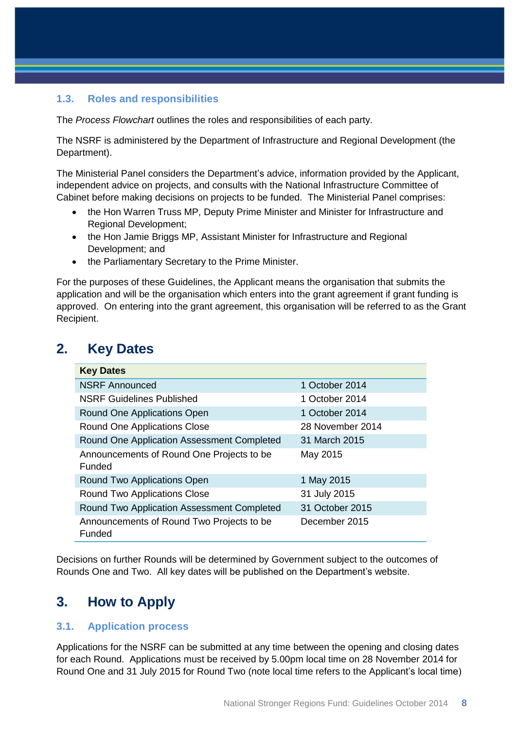#### <span id="page-7-0"></span>**1.3. Roles and responsibilities**

The *Process Flowchart* outlines the roles and responsibilities of each party.

The NSRF is administered by the Department of Infrastructure and Regional Development (the Department).

The Ministerial Panel considers the Department's advice, information provided by the Applicant, independent advice on projects, and consults with the National Infrastructure Committee of Cabinet before making decisions on projects to be funded. The Ministerial Panel comprises:

- the Hon Warren Truss MP, Deputy Prime Minister and Minister for Infrastructure and Regional Development;
- the Hon Jamie Briggs MP, Assistant Minister for Infrastructure and Regional Development; and
- the Parliamentary Secretary to the Prime Minister.

For the purposes of these Guidelines, the Applicant means the organisation that submits the application and will be the organisation which enters into the grant agreement if grant funding is approved. On entering into the grant agreement, this organisation will be referred to as the Grant Recipient.

## <span id="page-7-1"></span>**2. Key Dates**

| <b>Key Dates</b>                                    |                  |
|-----------------------------------------------------|------------------|
| <b>NSRF Announced</b>                               | 1 October 2014   |
| <b>NSRF Guidelines Published</b>                    | 1 October 2014   |
| Round One Applications Open                         | 1 October 2014   |
| Round One Applications Close                        | 28 November 2014 |
| Round One Application Assessment Completed          | 31 March 2015    |
| Announcements of Round One Projects to be<br>Funded | May 2015         |
| Round Two Applications Open                         | 1 May 2015       |
| <b>Round Two Applications Close</b>                 | 31 July 2015     |
| Round Two Application Assessment Completed          | 31 October 2015  |
| Announcements of Round Two Projects to be<br>Funded | December 2015    |

Decisions on further Rounds will be determined by Government subject to the outcomes of Rounds One and Two. All key dates will be published on the Department's website.

## <span id="page-7-2"></span>**3. How to Apply**

#### <span id="page-7-3"></span>**3.1. Application process**

Applications for the NSRF can be submitted at any time between the opening and closing dates for each Round. Applications must be received by 5.00pm local time on 28 November 2014 for Round One and 31 July 2015 for Round Two (note local time refers to the Applicant's local time)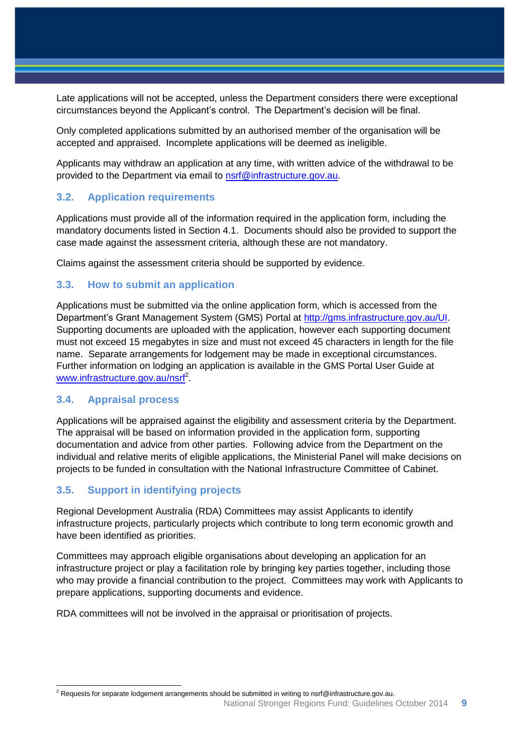Late applications will not be accepted, unless the Department considers there were exceptional circumstances beyond the Applicant's control. The Department's decision will be final.

Only completed applications submitted by an authorised member of the organisation will be accepted and appraised. Incomplete applications will be deemed as ineligible.

Applicants may withdraw an application at any time, with written advice of the withdrawal to be provided to the Department via email to [nsrf@infrastructure.gov.au.](mailto:nsrf@infrastructure.gov.au)

#### <span id="page-8-0"></span>**3.2. Application requirements**

Applications must provide all of the information required in the application form, including the mandatory documents listed in Section 4.1. Documents should also be provided to support the case made against the assessment criteria, although these are not mandatory.

Claims against the assessment criteria should be supported by evidence.

#### <span id="page-8-1"></span>**3.3. How to submit an application**

Applications must be submitted via the online application form, which is accessed from the Department's Grant Management System (GMS) Portal at [http://gms.infrastructure.gov.au/UI.](http://gms.infrastructure.gov.au/UI) Supporting documents are uploaded with the application, however each supporting document must not exceed 15 megabytes in size and must not exceed 45 characters in length for the file name. Separate arrangements for lodgement may be made in exceptional circumstances. Further information on lodging an application is available in the GMS Portal User Guide at [www.infrastructure.gov.au/nsrf](http://www.infrastructure.gov.au/nsrf)<sup>2</sup>.

#### <span id="page-8-2"></span>**3.4. Appraisal process**

Applications will be appraised against the eligibility and assessment criteria by the Department. The appraisal will be based on information provided in the application form, supporting documentation and advice from other parties. Following advice from the Department on the individual and relative merits of eligible applications, the Ministerial Panel will make decisions on projects to be funded in consultation with the National Infrastructure Committee of Cabinet.

### <span id="page-8-3"></span>**3.5. Support in identifying projects**

Regional Development Australia (RDA) Committees may assist Applicants to identify infrastructure projects, particularly projects which contribute to long term economic growth and have been identified as priorities.

Committees may approach eligible organisations about developing an application for an infrastructure project or play a facilitation role by bringing key parties together, including those who may provide a financial contribution to the project. Committees may work with Applicants to prepare applications, supporting documents and evidence.

RDA committees will not be involved in the appraisal or prioritisation of projects.

  $^2$  Requests for separate lodgement arrangements should be submitted in writing to nsrf@infrastructure.gov.au.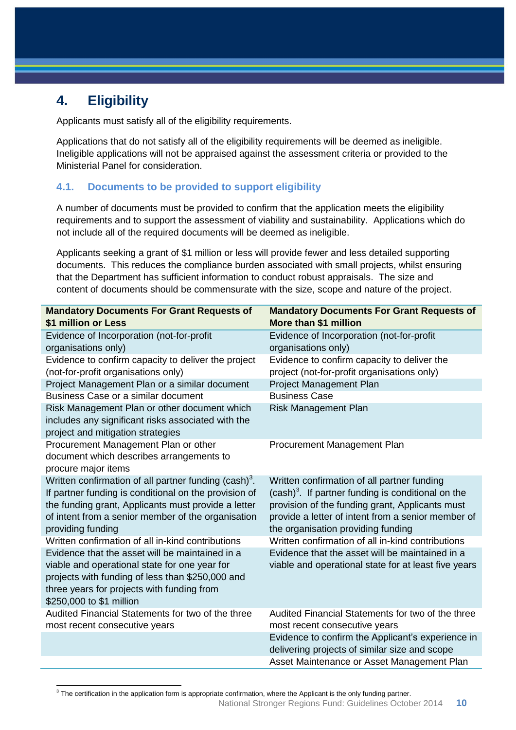# <span id="page-9-0"></span>**4. Eligibility**

Applicants must satisfy all of the eligibility requirements.

Applications that do not satisfy all of the eligibility requirements will be deemed as ineligible. Ineligible applications will not be appraised against the assessment criteria or provided to the Ministerial Panel for consideration.

#### <span id="page-9-1"></span>**4.1. Documents to be provided to support eligibility**

A number of documents must be provided to confirm that the application meets the eligibility requirements and to support the assessment of viability and sustainability. Applications which do not include all of the required documents will be deemed as ineligible.

Applicants seeking a grant of \$1 million or less will provide fewer and less detailed supporting documents. This reduces the compliance burden associated with small projects, whilst ensuring that the Department has sufficient information to conduct robust appraisals. The size and content of documents should be commensurate with the size, scope and nature of the project.

| <b>Mandatory Documents For Grant Requests of</b><br>\$1 million or Less                                                                                                                                                                                      | <b>Mandatory Documents For Grant Requests of</b><br>More than \$1 million                                                                                                                                                                                    |
|--------------------------------------------------------------------------------------------------------------------------------------------------------------------------------------------------------------------------------------------------------------|--------------------------------------------------------------------------------------------------------------------------------------------------------------------------------------------------------------------------------------------------------------|
| Evidence of Incorporation (not-for-profit                                                                                                                                                                                                                    | Evidence of Incorporation (not-for-profit                                                                                                                                                                                                                    |
| organisations only)                                                                                                                                                                                                                                          | organisations only)                                                                                                                                                                                                                                          |
| Evidence to confirm capacity to deliver the project<br>(not-for-profit organisations only)                                                                                                                                                                   | Evidence to confirm capacity to deliver the<br>project (not-for-profit organisations only)                                                                                                                                                                   |
| Project Management Plan or a similar document                                                                                                                                                                                                                | <b>Project Management Plan</b>                                                                                                                                                                                                                               |
| Business Case or a similar document                                                                                                                                                                                                                          | <b>Business Case</b>                                                                                                                                                                                                                                         |
| Risk Management Plan or other document which<br>includes any significant risks associated with the<br>project and mitigation strategies                                                                                                                      | <b>Risk Management Plan</b>                                                                                                                                                                                                                                  |
| Procurement Management Plan or other<br>document which describes arrangements to<br>procure major items                                                                                                                                                      | Procurement Management Plan                                                                                                                                                                                                                                  |
| Written confirmation of all partner funding (cash) <sup>3</sup> .<br>If partner funding is conditional on the provision of<br>the funding grant, Applicants must provide a letter<br>of intent from a senior member of the organisation<br>providing funding | Written confirmation of all partner funding<br>(cash) <sup>3</sup> . If partner funding is conditional on the<br>provision of the funding grant, Applicants must<br>provide a letter of intent from a senior member of<br>the organisation providing funding |
| Written confirmation of all in-kind contributions                                                                                                                                                                                                            | Written confirmation of all in-kind contributions                                                                                                                                                                                                            |
| Evidence that the asset will be maintained in a<br>viable and operational state for one year for<br>projects with funding of less than \$250,000 and<br>three years for projects with funding from<br>\$250,000 to \$1 million                               | Evidence that the asset will be maintained in a<br>viable and operational state for at least five years                                                                                                                                                      |
| Audited Financial Statements for two of the three<br>most recent consecutive years                                                                                                                                                                           | Audited Financial Statements for two of the three<br>most recent consecutive years                                                                                                                                                                           |
|                                                                                                                                                                                                                                                              | Evidence to confirm the Applicant's experience in<br>delivering projects of similar size and scope                                                                                                                                                           |
|                                                                                                                                                                                                                                                              | Asset Maintenance or Asset Management Plan                                                                                                                                                                                                                   |

3 The certification in the application form is appropriate confirmation, where the Applicant is the only funding partner.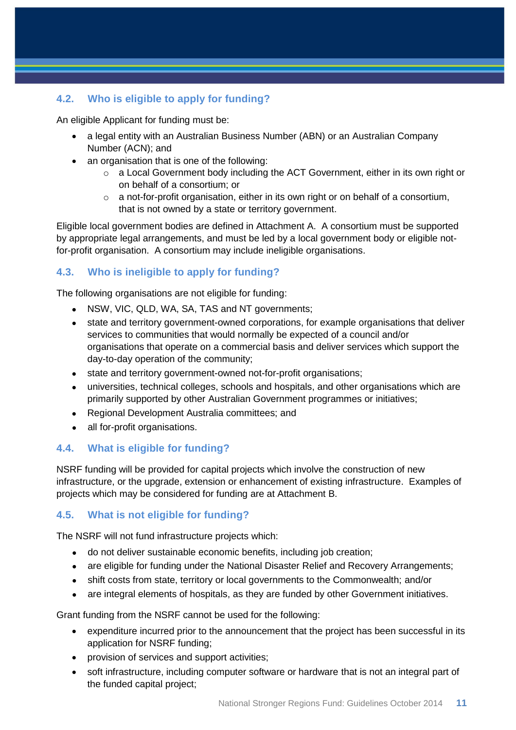## <span id="page-10-0"></span>**4.2. Who is eligible to apply for funding?**

An eligible Applicant for funding must be:

- a legal entity with an Australian Business Number (ABN) or an Australian Company Number (ACN); and
- an organisation that is one of the following:
	- o a Local Government body including the ACT Government, either in its own right or on behalf of a consortium; or
	- o a not-for-profit organisation, either in its own right or on behalf of a consortium, that is not owned by a state or territory government.

Eligible local government bodies are defined in Attachment A. A consortium must be supported by appropriate legal arrangements, and must be led by a local government body or eligible notfor-profit organisation. A consortium may include ineligible organisations.

### <span id="page-10-1"></span>**4.3. Who is ineligible to apply for funding?**

The following organisations are not eligible for funding:

- NSW, VIC, QLD, WA, SA, TAS and NT governments;
- state and territory government-owned corporations, for example organisations that deliver services to communities that would normally be expected of a council and/or organisations that operate on a commercial basis and deliver services which support the day-to-day operation of the community;
- state and territory government-owned not-for-profit organisations;
- universities, technical colleges, schools and hospitals, and other organisations which are primarily supported by other Australian Government programmes or initiatives;
- Regional Development Australia committees: and
- all for-profit organisations.

### <span id="page-10-2"></span>**4.4. What is eligible for funding?**

NSRF funding will be provided for capital projects which involve the construction of new infrastructure, or the upgrade, extension or enhancement of existing infrastructure. Examples of projects which may be considered for funding are at Attachment B.

### <span id="page-10-3"></span>**4.5. What is not eligible for funding?**

The NSRF will not fund infrastructure projects which:

- do not deliver sustainable economic benefits, including job creation;
- are eligible for funding under the National Disaster Relief and Recovery Arrangements;
- shift costs from state, territory or local governments to the Commonwealth; and/or
- are integral elements of hospitals, as they are funded by other Government initiatives.

Grant funding from the NSRF cannot be used for the following:

- expenditure incurred prior to the announcement that the project has been successful in its application for NSRF funding;
- provision of services and support activities;
- soft infrastructure, including computer software or hardware that is not an integral part of the funded capital project;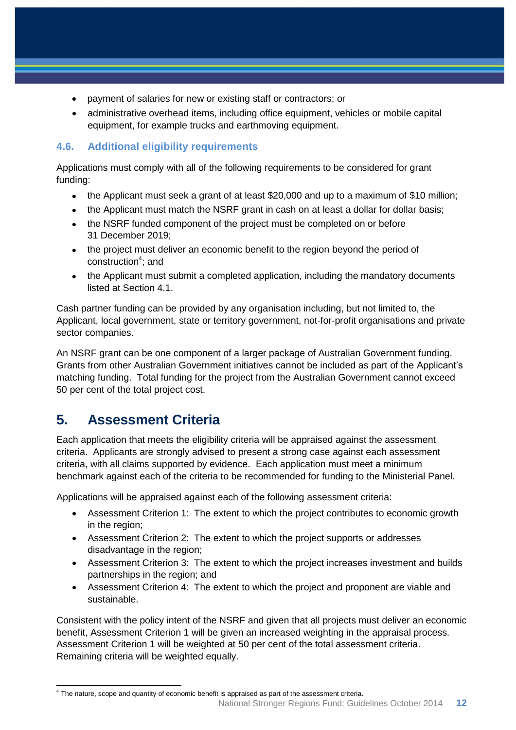- payment of salaries for new or existing staff or contractors; or
- administrative overhead items, including office equipment, vehicles or mobile capital equipment, for example trucks and earthmoving equipment.

## <span id="page-11-0"></span>**4.6. Additional eligibility requirements**

Applications must comply with all of the following requirements to be considered for grant funding:

- the Applicant must seek a grant of at least \$20,000 and up to a maximum of \$10 million;
- the Applicant must match the NSRF grant in cash on at least a dollar for dollar basis;
- the NSRF funded component of the project must be completed on or before 31 December 2019;
- the project must deliver an economic benefit to the region beyond the period of construction<sup>4</sup>; and
- the Applicant must submit a completed application, including the mandatory documents listed at Section 4.1.

Cash partner funding can be provided by any organisation including, but not limited to, the Applicant, local government, state or territory government, not-for-profit organisations and private sector companies.

An NSRF grant can be one component of a larger package of Australian Government funding. Grants from other Australian Government initiatives cannot be included as part of the Applicant's matching funding. Total funding for the project from the Australian Government cannot exceed 50 per cent of the total project cost.

# <span id="page-11-1"></span>**5. Assessment Criteria**

Each application that meets the eligibility criteria will be appraised against the assessment criteria. Applicants are strongly advised to present a strong case against each assessment criteria, with all claims supported by evidence. Each application must meet a minimum benchmark against each of the criteria to be recommended for funding to the Ministerial Panel.

Applications will be appraised against each of the following assessment criteria:

- Assessment Criterion 1: The extent to which the project contributes to economic growth in the region;
- Assessment Criterion 2: The extent to which the project supports or addresses disadvantage in the region;
- Assessment Criterion 3: The extent to which the project increases investment and builds partnerships in the region; and
- Assessment Criterion 4: The extent to which the project and proponent are viable and sustainable.

Consistent with the policy intent of the NSRF and given that all projects must deliver an economic benefit, Assessment Criterion 1 will be given an increased weighting in the appraisal process. Assessment Criterion 1 will be weighted at 50 per cent of the total assessment criteria. Remaining criteria will be weighted equally.

 4 The nature, scope and quantity of economic benefit is appraised as part of the assessment criteria.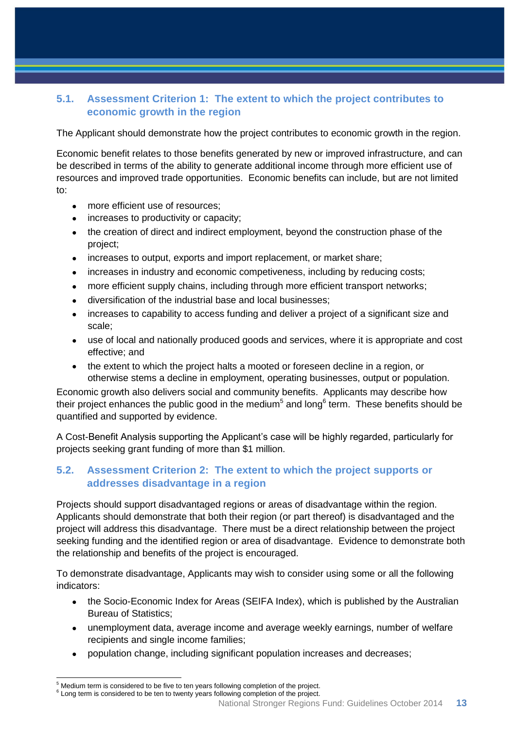## <span id="page-12-0"></span>**5.1. Assessment Criterion 1: The extent to which the project contributes to economic growth in the region**

The Applicant should demonstrate how the project contributes to economic growth in the region.

Economic benefit relates to those benefits generated by new or improved infrastructure, and can be described in terms of the ability to generate additional income through more efficient use of resources and improved trade opportunities. Economic benefits can include, but are not limited to:

- more efficient use of resources;
- increases to productivity or capacity;
- the creation of direct and indirect employment, beyond the construction phase of the project;
- increases to output, exports and import replacement, or market share;
- increases in industry and economic competiveness, including by reducing costs;
- more efficient supply chains, including through more efficient transport networks;
- diversification of the industrial base and local businesses;
- increases to capability to access funding and deliver a project of a significant size and scale;
- use of local and nationally produced goods and services, where it is appropriate and cost effective; and
- the extent to which the project halts a mooted or foreseen decline in a region, or otherwise stems a decline in employment, operating businesses, output or population.

Economic growth also delivers social and community benefits. Applicants may describe how their project enhances the public good in the medium<sup>5</sup> and long<sup>6</sup> term. These benefits should be quantified and supported by evidence.

A Cost-Benefit Analysis supporting the Applicant's case will be highly regarded, particularly for projects seeking grant funding of more than \$1 million.

#### <span id="page-12-1"></span>**5.2. Assessment Criterion 2: The extent to which the project supports or addresses disadvantage in a region**

Projects should support disadvantaged regions or areas of disadvantage within the region. Applicants should demonstrate that both their region (or part thereof) is disadvantaged and the project will address this disadvantage. There must be a direct relationship between the project seeking funding and the identified region or area of disadvantage. Evidence to demonstrate both the relationship and benefits of the project is encouraged.

To demonstrate disadvantage, Applicants may wish to consider using some or all the following indicators:

- the Socio-Economic Index for Areas (SEIFA Index), which is published by the Australian Bureau of Statistics;
- unemployment data, average income and average weekly earnings, number of welfare recipients and single income families;
- population change, including significant population increases and decreases;

 $\overline{a}$ 

<sup>&</sup>lt;sup>5</sup> Medium term is considered to be five to ten years following completion of the project.

<sup>&</sup>lt;sup>6</sup> Long term is considered to be ten to twenty years following completion of the project.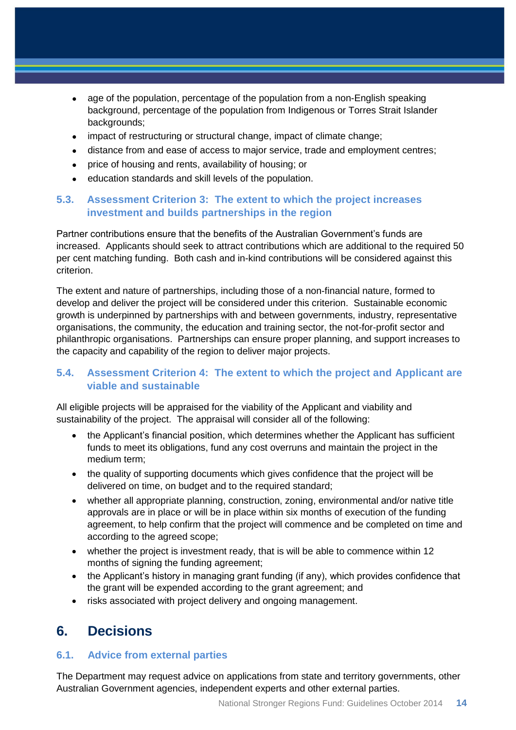- age of the population, percentage of the population from a non-English speaking background, percentage of the population from Indigenous or Torres Strait Islander backgrounds;
- impact of restructuring or structural change, impact of climate change;
- distance from and ease of access to major service, trade and employment centres;
- price of housing and rents, availability of housing; or
- education standards and skill levels of the population.

#### <span id="page-13-0"></span>**5.3. Assessment Criterion 3: The extent to which the project increases investment and builds partnerships in the region**

Partner contributions ensure that the benefits of the Australian Government's funds are increased. Applicants should seek to attract contributions which are additional to the required 50 per cent matching funding. Both cash and in-kind contributions will be considered against this criterion.

The extent and nature of partnerships, including those of a non-financial nature, formed to develop and deliver the project will be considered under this criterion. Sustainable economic growth is underpinned by partnerships with and between governments, industry, representative organisations, the community, the education and training sector, the not-for-profit sector and philanthropic organisations. Partnerships can ensure proper planning, and support increases to the capacity and capability of the region to deliver major projects.

#### <span id="page-13-1"></span>**5.4. Assessment Criterion 4: The extent to which the project and Applicant are viable and sustainable**

All eligible projects will be appraised for the viability of the Applicant and viability and sustainability of the project. The appraisal will consider all of the following:

- the Applicant's financial position, which determines whether the Applicant has sufficient funds to meet its obligations, fund any cost overruns and maintain the project in the medium term;
- the quality of supporting documents which gives confidence that the project will be delivered on time, on budget and to the required standard;
- whether all appropriate planning, construction, zoning, environmental and/or native title approvals are in place or will be in place within six months of execution of the funding agreement, to help confirm that the project will commence and be completed on time and according to the agreed scope;
- whether the project is investment ready, that is will be able to commence within 12 months of signing the funding agreement;
- the Applicant's history in managing grant funding (if any), which provides confidence that the grant will be expended according to the grant agreement; and
- risks associated with project delivery and ongoing management.

# <span id="page-13-2"></span>**6. Decisions**

#### <span id="page-13-3"></span>**6.1. Advice from external parties**

The Department may request advice on applications from state and territory governments, other Australian Government agencies, independent experts and other external parties.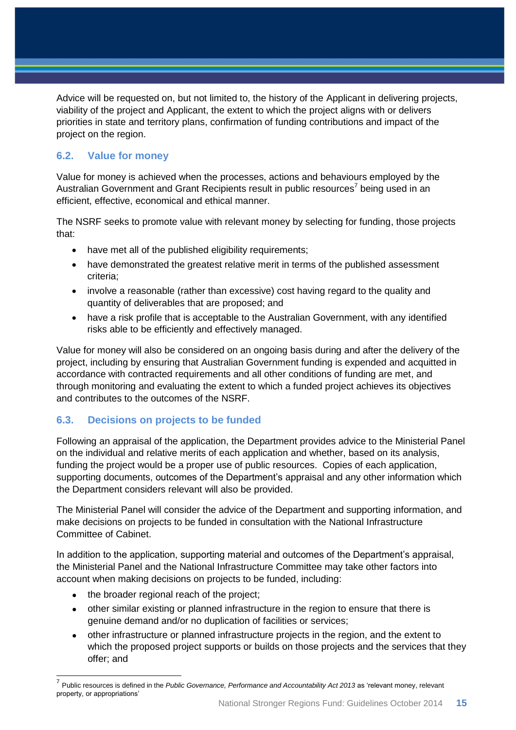Advice will be requested on, but not limited to, the history of the Applicant in delivering projects, viability of the project and Applicant, the extent to which the project aligns with or delivers priorities in state and territory plans, confirmation of funding contributions and impact of the project on the region.

### <span id="page-14-0"></span>**6.2. Value for money**

Value for money is achieved when the processes, actions and behaviours employed by the Australian Government and Grant Recipients result in public resources<sup>7</sup> being used in an efficient, effective, economical and ethical manner.

The NSRF seeks to promote value with relevant money by selecting for funding, those projects that:

- have met all of the published eligibility requirements;
- have demonstrated the greatest relative merit in terms of the published assessment criteria;
- involve a reasonable (rather than excessive) cost having regard to the quality and quantity of deliverables that are proposed; and
- have a risk profile that is acceptable to the Australian Government, with any identified risks able to be efficiently and effectively managed.

Value for money will also be considered on an ongoing basis during and after the delivery of the project, including by ensuring that Australian Government funding is expended and acquitted in accordance with contracted requirements and all other conditions of funding are met, and through monitoring and evaluating the extent to which a funded project achieves its objectives and contributes to the outcomes of the NSRF.

### <span id="page-14-1"></span>**6.3. Decisions on projects to be funded**

Following an appraisal of the application, the Department provides advice to the Ministerial Panel on the individual and relative merits of each application and whether, based on its analysis, funding the project would be a proper use of public resources. Copies of each application, supporting documents, outcomes of the Department's appraisal and any other information which the Department considers relevant will also be provided.

The Ministerial Panel will consider the advice of the Department and supporting information, and make decisions on projects to be funded in consultation with the National Infrastructure Committee of Cabinet.

In addition to the application, supporting material and outcomes of the Department's appraisal, the Ministerial Panel and the National Infrastructure Committee may take other factors into account when making decisions on projects to be funded, including:

the broader regional reach of the project;

- other similar existing or planned infrastructure in the region to ensure that there is genuine demand and/or no duplication of facilities or services;
- other infrastructure or planned infrastructure projects in the region, and the extent to which the proposed project supports or builds on those projects and the services that they offer; and

<sup>&</sup>lt;sup>7</sup> Public resources is defined in the *Public Governance, Performance and Accountability Act 2013* as 'relevant money, relevant property, or appropriations'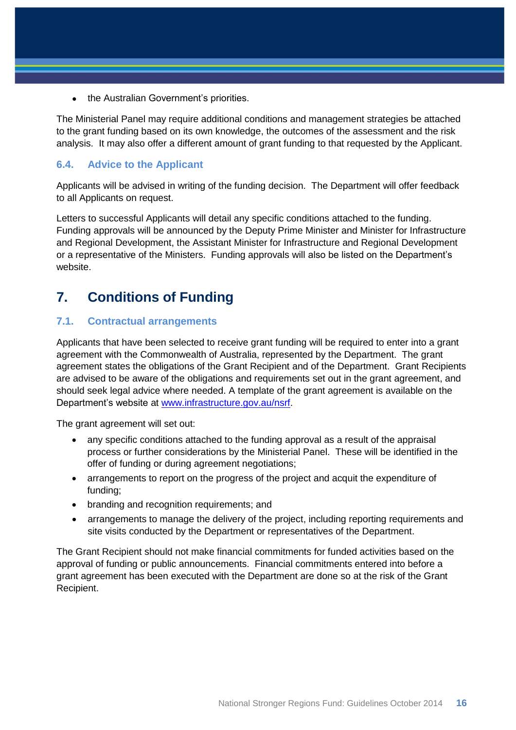• the Australian Government's priorities.

The Ministerial Panel may require additional conditions and management strategies be attached to the grant funding based on its own knowledge, the outcomes of the assessment and the risk analysis. It may also offer a different amount of grant funding to that requested by the Applicant.

#### <span id="page-15-0"></span>**6.4. Advice to the Applicant**

Applicants will be advised in writing of the funding decision. The Department will offer feedback to all Applicants on request.

Letters to successful Applicants will detail any specific conditions attached to the funding. Funding approvals will be announced by the Deputy Prime Minister and Minister for Infrastructure and Regional Development, the Assistant Minister for Infrastructure and Regional Development or a representative of the Ministers. Funding approvals will also be listed on the Department's website.

# <span id="page-15-1"></span>**7. Conditions of Funding**

#### <span id="page-15-2"></span>**7.1. Contractual arrangements**

Applicants that have been selected to receive grant funding will be required to enter into a grant agreement with the Commonwealth of Australia, represented by the Department. The grant agreement states the obligations of the Grant Recipient and of the Department. Grant Recipients are advised to be aware of the obligations and requirements set out in the grant agreement, and should seek legal advice where needed. A template of the grant agreement is available on the Department's website at [www.infrastructure.gov.au/nsrf.](http://www.infrastructure.gov.au/nsrf)

The grant agreement will set out:

- any specific conditions attached to the funding approval as a result of the appraisal process or further considerations by the Ministerial Panel. These will be identified in the offer of funding or during agreement negotiations;
- arrangements to report on the progress of the project and acquit the expenditure of funding;
- branding and recognition requirements; and
- arrangements to manage the delivery of the project, including reporting requirements and site visits conducted by the Department or representatives of the Department.

The Grant Recipient should not make financial commitments for funded activities based on the approval of funding or public announcements. Financial commitments entered into before a grant agreement has been executed with the Department are done so at the risk of the Grant Recipient.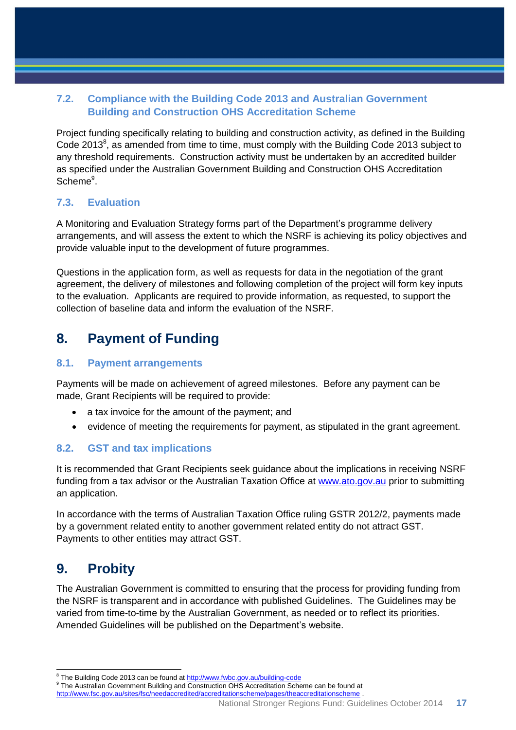## <span id="page-16-0"></span>**7.2. Compliance with the Building Code 2013 and Australian Government Building and Construction OHS Accreditation Scheme**

Project funding specifically relating to building and construction activity, as defined in the Building Code 2013 $^8$ , as amended from time to time, must comply with the Building Code 2013 subject to any threshold requirements. Construction activity must be undertaken by an accredited builder as specified under the Australian Government Building and Construction OHS Accreditation Scheme<sup>9</sup>.

### <span id="page-16-1"></span>**7.3. Evaluation**

A Monitoring and Evaluation Strategy forms part of the Department's programme delivery arrangements, and will assess the extent to which the NSRF is achieving its policy objectives and provide valuable input to the development of future programmes.

Questions in the application form, as well as requests for data in the negotiation of the grant agreement, the delivery of milestones and following completion of the project will form key inputs to the evaluation. Applicants are required to provide information, as requested, to support the collection of baseline data and inform the evaluation of the NSRF.

# <span id="page-16-2"></span>**8. Payment of Funding**

#### <span id="page-16-3"></span>**8.1. Payment arrangements**

Payments will be made on achievement of agreed milestones. Before any payment can be made, Grant Recipients will be required to provide:

- a tax invoice for the amount of the payment; and
- evidence of meeting the requirements for payment, as stipulated in the grant agreement.

### <span id="page-16-4"></span>**8.2. GST and tax implications**

It is recommended that Grant Recipients seek guidance about the implications in receiving NSRF funding from a tax advisor or the Australian Taxation Office at [www.ato.gov.au](file:///C:/Users/Klindsay/AppData/Local/Microsoft/Windows/Temporary%20Internet%20Files/Content.Outlook/1KPA6WE1/www.ato.gov.au) prior to submitting an application.

In accordance with the terms of Australian Taxation Office ruling GSTR 2012/2, payments made by a government related entity to another government related entity do not attract GST. Payments to other entities may attract GST.

# <span id="page-16-5"></span>**9. Probity**

The Australian Government is committed to ensuring that the process for providing funding from the NSRF is transparent and in accordance with published Guidelines. The Guidelines may be varied from time-to-time by the Australian Government, as needed or to reflect its priorities. Amended Guidelines will be published on the Department's website.

<sup>9</sup> The Australian Government Building and Construction OHS Accreditation Scheme can be found at

 8 The Building Code 2013 can be found at <http://www.fwbc.gov.au/building-code>

<http://www.fsc.gov.au/sites/fsc/needaccredited/accreditationscheme/pages/theaccreditationscheme> .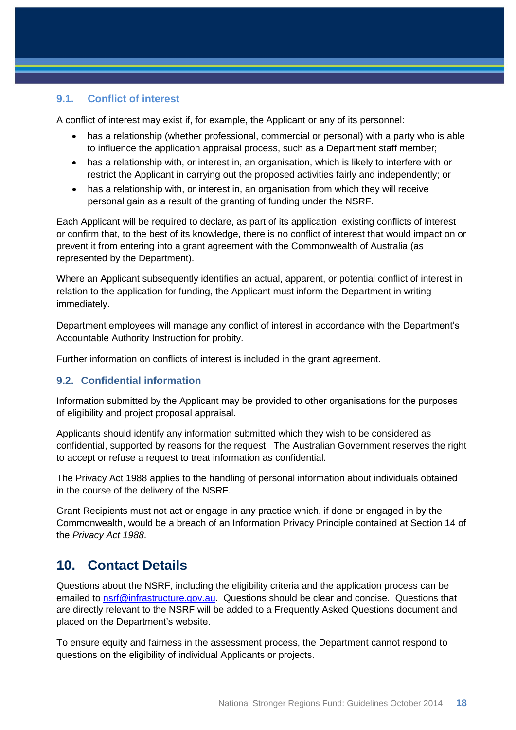#### <span id="page-17-0"></span>**9.1. Conflict of interest**

A conflict of interest may exist if, for example, the Applicant or any of its personnel:

- has a relationship (whether professional, commercial or personal) with a party who is able to influence the application appraisal process, such as a Department staff member;
- has a relationship with, or interest in, an organisation, which is likely to interfere with or restrict the Applicant in carrying out the proposed activities fairly and independently; or
- has a relationship with, or interest in, an organisation from which they will receive personal gain as a result of the granting of funding under the NSRF.

Each Applicant will be required to declare, as part of its application, existing conflicts of interest or confirm that, to the best of its knowledge, there is no conflict of interest that would impact on or prevent it from entering into a grant agreement with the Commonwealth of Australia (as represented by the Department).

Where an Applicant subsequently identifies an actual, apparent, or potential conflict of interest in relation to the application for funding, the Applicant must inform the Department in writing immediately.

Department employees will manage any conflict of interest in accordance with the Department's Accountable Authority Instruction for probity.

Further information on conflicts of interest is included in the grant agreement.

#### <span id="page-17-1"></span>**9.2. Confidential information**

Information submitted by the Applicant may be provided to other organisations for the purposes of eligibility and project proposal appraisal.

Applicants should identify any information submitted which they wish to be considered as confidential, supported by reasons for the request. The Australian Government reserves the right to accept or refuse a request to treat information as confidential.

The Privacy Act 1988 applies to the handling of personal information about individuals obtained in the course of the delivery of the NSRF.

Grant Recipients must not act or engage in any practice which, if done or engaged in by the Commonwealth, would be a breach of an Information Privacy Principle contained at Section 14 of the *Privacy Act 1988*.

## <span id="page-17-2"></span>**10. Contact Details**

Questions about the NSRF, including the eligibility criteria and the application process can be emailed to [nsrf@infrastructure.gov.au.](mailto:nsrf@infrastructure.gov.au) Questions should be clear and concise. Questions that are directly relevant to the NSRF will be added to a Frequently Asked Questions document and placed on the Department's website.

To ensure equity and fairness in the assessment process, the Department cannot respond to questions on the eligibility of individual Applicants or projects.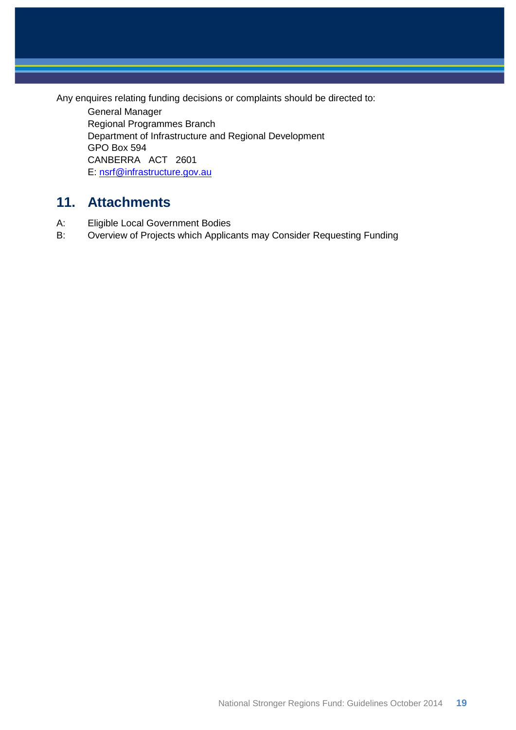Any enquires relating funding decisions or complaints should be directed to:

General Manager Regional Programmes Branch Department of Infrastructure and Regional Development GPO Box 594 CANBERRA ACT 2601 E: [nsrf@infrastructure.gov.au](mailto:nsrf@infrastructure.gov.au)

# <span id="page-18-0"></span>**11. Attachments**

- A: Eligible Local Government Bodies
- B: Overview of Projects which Applicants may Consider Requesting Funding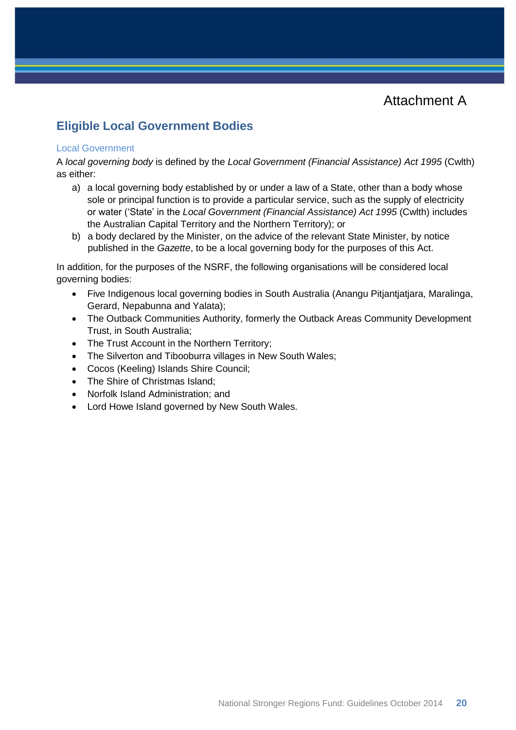Attachment A

## <span id="page-19-0"></span>**Eligible Local Government Bodies**

#### Local Government

A *local governing body* is defined by the *Local Government (Financial Assistance) Act 1995* (Cwlth) as either:

- a) a local governing body established by or under a law of a State, other than a body whose sole or principal function is to provide a particular service, such as the supply of electricity or water ('State' in the *Local Government (Financial Assistance) Act 1995* (Cwlth) includes the Australian Capital Territory and the Northern Territory); or
- b) a body declared by the Minister, on the advice of the relevant State Minister, by notice published in the *Gazette*, to be a local governing body for the purposes of this Act.

In addition, for the purposes of the NSRF, the following organisations will be considered local governing bodies:

- Five Indigenous local governing bodies in South Australia (Anangu Pitjantjatjara, Maralinga, Gerard, Nepabunna and Yalata);
- The Outback Communities Authority, formerly the Outback Areas Community Development Trust, in South Australia;
- The Trust Account in the Northern Territory;
- The Silverton and Tibooburra villages in New South Wales;
- Cocos (Keeling) Islands Shire Council;
- The Shire of Christmas Island;
- Norfolk Island Administration; and
- Lord Howe Island governed by New South Wales.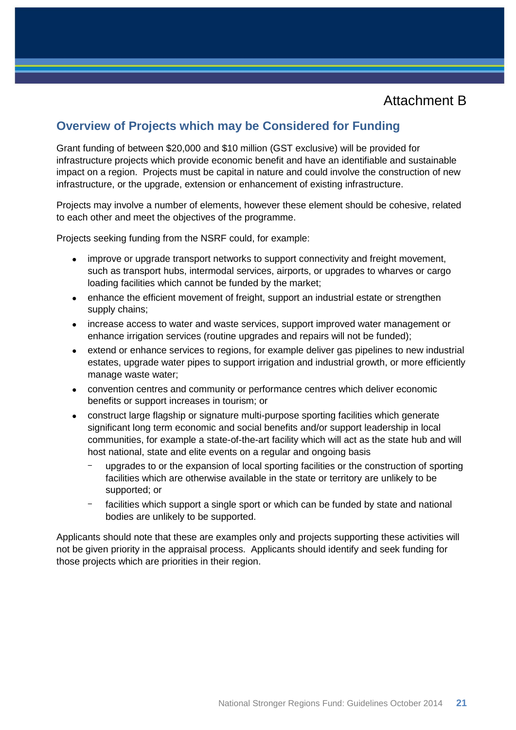## Attachment B

## <span id="page-20-0"></span>**Overview of Projects which may be Considered for Funding**

Grant funding of between \$20,000 and \$10 million (GST exclusive) will be provided for infrastructure projects which provide economic benefit and have an identifiable and sustainable impact on a region. Projects must be capital in nature and could involve the construction of new infrastructure, or the upgrade, extension or enhancement of existing infrastructure.

Projects may involve a number of elements, however these element should be cohesive, related to each other and meet the objectives of the programme.

Projects seeking funding from the NSRF could, for example:

- improve or upgrade transport networks to support connectivity and freight movement, such as transport hubs, intermodal services, airports, or upgrades to wharves or cargo loading facilities which cannot be funded by the market;
- enhance the efficient movement of freight, support an industrial estate or strengthen supply chains;
- increase access to water and waste services, support improved water management or enhance irrigation services (routine upgrades and repairs will not be funded);
- extend or enhance services to regions, for example deliver gas pipelines to new industrial estates, upgrade water pipes to support irrigation and industrial growth, or more efficiently manage waste water;
- convention centres and community or performance centres which deliver economic benefits or support increases in tourism; or
- construct large flagship or signature multi-purpose sporting facilities which generate significant long term economic and social benefits and/or support leadership in local communities, for example a state-of-the-art facility which will act as the state hub and will host national, state and elite events on a regular and ongoing basis
	- upgrades to or the expansion of local sporting facilities or the construction of sporting facilities which are otherwise available in the state or territory are unlikely to be supported; or
	- facilities which support a single sport or which can be funded by state and national bodies are unlikely to be supported.

Applicants should note that these are examples only and projects supporting these activities will not be given priority in the appraisal process. Applicants should identify and seek funding for those projects which are priorities in their region.